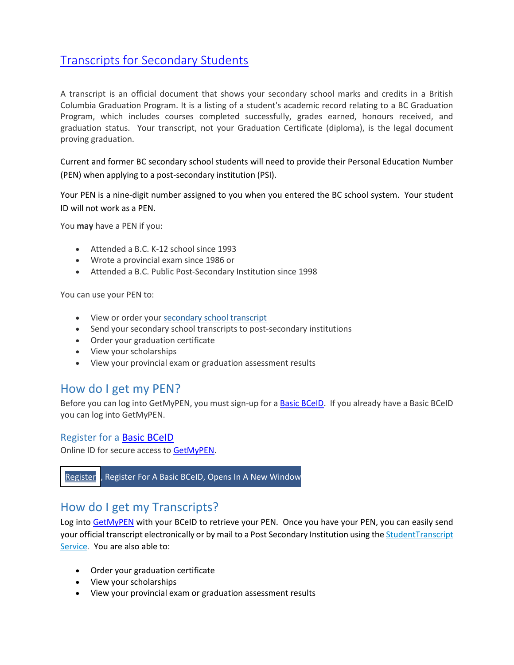## [Transcripts for Secondary Students](https://www2.gov.bc.ca/gov/content/education-training/k-12/support/transcripts-and-certificates)

A transcript is an official document that shows your secondary school marks and credits in a British Columbia Graduation Program. It is a listing of a student's academic record relating to a BC Graduation Program, which includes courses completed successfully, grades earned, honours received, and graduation status. Your transcript, not your Graduation Certificate (diploma), is the legal document proving graduation.

Current and former BC secondary school students will need to provide their Personal Education Number (PEN) when applying to a post-secondary institution (PSI).

Your PEN is a nine-digit number assigned to you when you entered the BC school system. Your student ID will not work as a PEN.

You **may** have a PEN if you:

- Attended a B.C. K-12 school since 1993
- Wrote a provincial exam since 1986 or
- Attended a B.C. Public Post-Secondary Institution since 1998

You can use your PEN to:

- View or order your [secondary school transcript](https://www2.gov.bc.ca/gov/content/education-training/k-12/support/transcripts-and-certificates)
- Send your secondary school transcripts to post-secondary institutions
- Order your graduation certificate
- View your scholarships
- View your provincial exam or graduation assessment results

### How do I get my PEN?

Before you can log into GetMyPEN, you must sign-up for [a Basic BCeID.](https://www.bceid.ca/register/basic/account_details.aspx?type=regular#action) If you already have a Basic BCeID you can log into GetMyPEN.

#### Register for a [Basic BCeID](https://www.bceid.ca/register/basic/account_details.aspx?type=regular#action)

Online ID for secure access t[o GetMyPEN.](https://logon7.gov.bc.ca/clp-cgi/capBceid/logon.cgi?flags=0111:0,8&TYPE=33554433&REALMOID=06-7004cac1-aa4b-4123-ad67-575ce671ef1e&GUID=&SMAUTHREASON=0&METHOD=GET&SMAGENTNAME=$SM$cRGW5%2fKnVU%2bG0Y34HfE7NEdvpDV0WHYkXyNyxgcktaa74X%2fU5p9GyfQnGUYCNhs1&TARGET=$SM$HTTPS%3a%2f%2fsfs7%2egov%2ebc%2eca%2faffwebservices%2fredirectjsp%2fpathfinder-bceid%2fredirect%2ejsp%3fSAMLRequest%3dnVJbT4MwFP4rpO9QVjbmmrFkuhiXeCFu$%2BuCLKXDYGqHFnjL131tA43xZjG$%2B9fKffrXMUddXwZWv36h5eW0DrvdeVQt5fJKQ1imuBErkSNSC3Od8sb645C0LeGG11risyjJwGC0QwVmpFvOX38kIrbGswGzAHmcPD$%2FXVC9tY2yClF1EEj7L6UqgAT7PQhyPIgF1Q4rdSAqGqkz1kOsqCZ0S9g6LABVTRaKku8lXMjleiYjt4tcXr8Wlm$%2BQYaDAKRNm1Uyp5155hQQ71KbHPp4ElKKCoF461VC1qvniGUxlNHIP2Mi9MdiVvizopz62Wh6xsJ4EkWT2IExdc7lAX7GEVtYK7RC2YSwkIV$%2BGPtstmUjHsV8PA0mI$%2FZEvPQr3XMXgFS70$%2BlmAwj51Xab$%2BundZku8RzDYW3cAsph3nnhPbo4q$%2Fmtpi3$%2F0MqdHnIOAht86kvUq1S7mD29ZVfrtwg1Zl481LfSB18KeltWdyMIveyhvOp9owVVOFwPn7x$%2B9$%2BAQ$%3D%26RelayState%3dsmHqvZMnxlcvzm38w4MO1wJJ39aCULUndVO1cxIoFQY%2eXNinbgBa7sE%2ehttps$%3A$%2F$%2Fsso%2epathfinder%2egov%2ebc%2eca$%2Fauth$%2Frealms$%2Fv45fd2kb%26SMPORTALURL%3dhttps$%3A$%2F$%2Fsfs7%2egov%2ebc%2eca$%2Faffwebservices$%2Fpublic$%2Fsaml2sso%26SAMLTRANSACTIONID%3d1042e8fd-e3323ea9-fc75a27e-a487e99f-6ddba532-22c2)



## How do I get my Transcripts?

Log into [GetMyPEN](https://logon7.gov.bc.ca/clp-cgi/capBceid/logon.cgi?flags=0111:0,8&TYPE=33554433&REALMOID=06-7004cac1-aa4b-4123-ad67-575ce671ef1e&GUID=&SMAUTHREASON=0&METHOD=GET&SMAGENTNAME=$SM$cRGW5%2fKnVU%2bG0Y34HfE7NEdvpDV0WHYkXyNyxgcktaa74X%2fU5p9GyfQnGUYCNhs1&TARGET=$SM$HTTPS%3a%2f%2fsfs7%2egov%2ebc%2eca%2faffwebservices%2fredirectjsp%2fpathfinder-bceid%2fredirect%2ejsp%3fSAMLRequest%3dnVJbT4MwFP4rpO9QVjbmmrFkuhiXeCFu$%2BuCLKXDYGqHFnjL131tA43xZjG$%2B9fKffrXMUddXwZWv36h5eW0DrvdeVQt5fJKQ1imuBErkSNSC3Od8sb645C0LeGG11risyjJwGC0QwVmpFvOX38kIrbGswGzAHmcPD$%2FXVC9tY2yClF1EEj7L6UqgAT7PQhyPIgF1Q4rdSAqGqkz1kOsqCZ0S9g6LABVTRaKku8lXMjleiYjt4tcXr8Wlm$%2BQYaDAKRNm1Uyp5155hQQ71KbHPp4ElKKCoF461VC1qvniGUxlNHIP2Mi9MdiVvizopz62Wh6xsJ4EkWT2IExdc7lAX7GEVtYK7RC2YSwkIV$%2BGPtstmUjHsV8PA0mI$%2FZEvPQr3XMXgFS70$%2BlmAwj51Xab$%2BundZku8RzDYW3cAsph3nnhPbo4q$%2Fmtpi3$%2F0MqdHnIOAht86kvUq1S7mD29ZVfrtwg1Zl481LfSB18KeltWdyMIveyhvOp9owVVOFwPn7x$%2B9$%2BAQ$%3D%26RelayState%3dsmHqvZMnxlcvzm38w4MO1wJJ39aCULUndVO1cxIoFQY%2eXNinbgBa7sE%2ehttps$%3A$%2F$%2Fsso%2epathfinder%2egov%2ebc%2eca$%2Fauth$%2Frealms$%2Fv45fd2kb%26SMPORTALURL%3dhttps$%3A$%2F$%2Fsfs7%2egov%2ebc%2eca$%2Faffwebservices$%2Fpublic$%2Fsaml2sso%26SAMLTRANSACTIONID%3d1042e8fd-e3323ea9-fc75a27e-a487e99f-6ddba532-22c2) with your BCeID to retrieve your PEN. Once you have your PEN, you can easily send your official transcript electronically or by mail to a Post Secondary Institution using the [StudentTranscript](http://www2.gov.bc.ca/gov/content/education-training/k-12/support/transcripts-and-certificates)  [Service.](http://www2.gov.bc.ca/gov/content/education-training/k-12/support/transcripts-and-certificates) You are also able to:

- Order your graduation certificate
- View your scholarships
- View your provincial exam or graduation assessment results